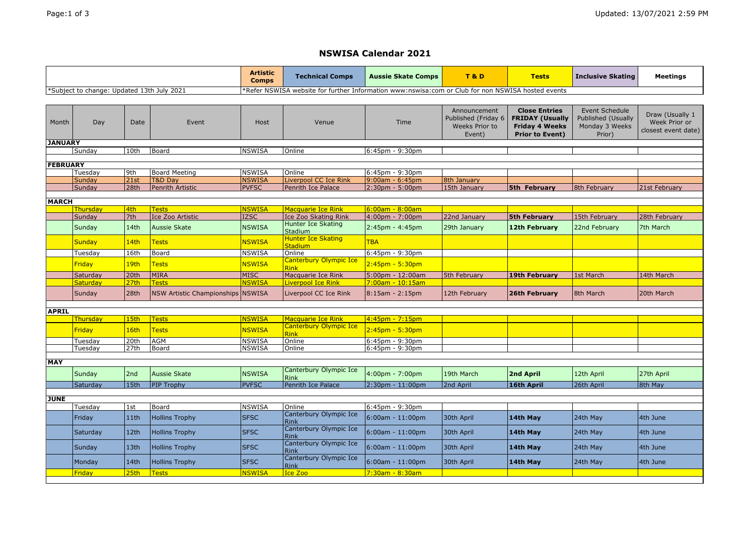## **NSWISA Calendar 2021**

|                                            |                           |                          |                                                   | <b>Artistic</b><br><b>Comps</b>                                                                     | <b>Technical Comps</b>                      | Aussie Skate Comps                     | <b>T&amp;D</b>                                                  | <b>Tests</b>                                                                                      | <b>Inclusive Skating</b>                                         | <b>Meetings</b>                                         |
|--------------------------------------------|---------------------------|--------------------------|---------------------------------------------------|-----------------------------------------------------------------------------------------------------|---------------------------------------------|----------------------------------------|-----------------------------------------------------------------|---------------------------------------------------------------------------------------------------|------------------------------------------------------------------|---------------------------------------------------------|
| *Subject to change: Updated 13th July 2021 |                           |                          |                                                   | Refer NSWISA website for further Information www:nswisa:com or Club for non NSWISA hosted events*** |                                             |                                        |                                                                 |                                                                                                   |                                                                  |                                                         |
|                                            |                           |                          |                                                   |                                                                                                     |                                             |                                        |                                                                 |                                                                                                   |                                                                  |                                                         |
| Month                                      | Day                       | Date                     | Event                                             | Host                                                                                                | Venue                                       | Time                                   | Announcement<br>Published (Friday 6<br>Weeks Prior to<br>Event) | <b>Close Entries</b><br><b>FRIDAY (Usually</b><br><b>Friday 4 Weeks</b><br><b>Prior to Event)</b> | Event Schedule<br>Published (Usually<br>Monday 3 Weeks<br>Prior) | Draw (Usually 1<br>Week Prior or<br>closest event date) |
| <b>JANUARY</b>                             |                           |                          |                                                   |                                                                                                     |                                             |                                        |                                                                 |                                                                                                   |                                                                  |                                                         |
|                                            | Sundav                    | 10th                     | Board                                             | <b>NSWISA</b>                                                                                       | Online                                      | $6:45$ pm - 9:30pm                     |                                                                 |                                                                                                   |                                                                  |                                                         |
|                                            | <b>FEBRUARY</b>           |                          |                                                   |                                                                                                     |                                             |                                        |                                                                 |                                                                                                   |                                                                  |                                                         |
|                                            | Tuesday                   | 9th                      | <b>Board Meeting</b>                              | <b>NSWISA</b>                                                                                       | Online                                      | 6:45pm - 9:30pm                        |                                                                 |                                                                                                   |                                                                  |                                                         |
|                                            | Sunday                    | 21st                     | <b>T&amp;D Dav</b>                                | <b>NSWISA</b>                                                                                       | Liverpool CC Ice Rink                       | $9:00$ am - 6:45pm                     | 8th January                                                     |                                                                                                   |                                                                  |                                                         |
|                                            | Sunday                    | 28th                     | <b>Penrith Artistic</b>                           | <b>PVFSC</b>                                                                                        | Penrith Ice Palace                          | $2:30pm - 5:00pm$                      | 15th January                                                    | <b>5th February</b>                                                                               | 8th February                                                     | 21st February                                           |
| <b>MARCH</b>                               |                           |                          |                                                   |                                                                                                     |                                             |                                        |                                                                 |                                                                                                   |                                                                  |                                                         |
|                                            | Thursday                  | 4th                      | <b>Tests</b>                                      | <b>NSWISA</b>                                                                                       | <b>Macquarie Ice Rink</b>                   | $6:00am - 8:00am$                      |                                                                 |                                                                                                   |                                                                  |                                                         |
|                                            | Sunday                    | 7th                      | Ice Zoo Artistic                                  | <b>IZSC</b>                                                                                         | Ice Zoo Skating Rink                        | $4:00 \text{pm} - 7:00 \text{pm}$      | 22nd January                                                    | <b>5th February</b>                                                                               | 15th February                                                    | 28th February                                           |
|                                            | Sunday                    | 14th                     | <b>Aussie Skate</b>                               | <b>NSWISA</b>                                                                                       | Hunter Ice Skating<br><b>Stadium</b>        | $2:45$ pm - 4:45pm                     | 29th January                                                    | 12th February                                                                                     | 22nd February                                                    | 7th March                                               |
|                                            | <b>Sunday</b>             | 14th                     | <b>Tests</b>                                      | <b>NSWISA</b>                                                                                       | <b>Hunter Ice Skating</b><br><b>Stadium</b> | <b>TBA</b>                             |                                                                 |                                                                                                   |                                                                  |                                                         |
|                                            | Tuesday                   | 16th                     | Board                                             | <b>NSWISA</b>                                                                                       | Online                                      | 6:45pm - 9:30pm                        |                                                                 |                                                                                                   |                                                                  |                                                         |
|                                            | <b>Friday</b>             | 19th                     | <b>Tests</b>                                      | <b>NSWISA</b>                                                                                       | Canterbury Olympic Ice<br><b>Rink</b>       | 2:45pm - 5:30pm                        |                                                                 |                                                                                                   |                                                                  |                                                         |
|                                            | Saturday                  | 20th                     | <b>MIRA</b>                                       | <b>MISC</b>                                                                                         | Macquarie Ice Rink                          | 5:00pm - 12:00am                       | 5th February                                                    | <b>19th February</b>                                                                              | 1st March                                                        | 14th March                                              |
|                                            | <b>Saturday</b><br>Sunday | 27 <sub>th</sub><br>28th | <b>Tests</b><br>NSW Artistic Championships NSWISA | <b>NSWISA</b>                                                                                       | Liverpool Ice Rink<br>Liverpool CC Ice Rink | 7:00am - 10:15am<br>$8:15$ am - 2:15pm | 12th February                                                   | 26th February                                                                                     | 8th March                                                        | 20th March                                              |
| <b>APRIL</b>                               |                           |                          |                                                   |                                                                                                     |                                             |                                        |                                                                 |                                                                                                   |                                                                  |                                                         |
|                                            | Thursday                  | 15th                     | <b>Tests</b>                                      | <b>NSWISA</b>                                                                                       | <b>Macquarie Ice Rink</b>                   | $4:45$ pm - 7:15pm                     |                                                                 |                                                                                                   |                                                                  |                                                         |
|                                            | Friday                    | 16th                     | <b>Tests</b>                                      | <b>NSWISA</b>                                                                                       | Canterbury Olympic Ice<br><b>Rink</b>       | $2:45$ pm - 5:30pm                     |                                                                 |                                                                                                   |                                                                  |                                                         |
|                                            | Tuesdav                   | 20th                     | <b>AGM</b>                                        | <b>NSWISA</b>                                                                                       | Online                                      | $6:45$ pm - 9:30pm                     |                                                                 |                                                                                                   |                                                                  |                                                         |
|                                            | Tuesday                   | 27th                     | Board                                             | <b>NSWISA</b>                                                                                       | Online                                      | 6:45pm - 9:30pm                        |                                                                 |                                                                                                   |                                                                  |                                                         |
| <b>MAY</b>                                 |                           |                          |                                                   |                                                                                                     |                                             |                                        |                                                                 |                                                                                                   |                                                                  |                                                         |
|                                            | Sunday                    | 2nd                      | <b>Aussie Skate</b>                               | <b>NSWISA</b>                                                                                       | Canterbury Olympic Ice<br><b>Rink</b>       | $4:00 \text{pm} - 7:00 \text{pm}$      | 19th March                                                      | 2nd April                                                                                         | 12th April                                                       | 27th April                                              |
|                                            | Saturday                  | 15th                     | <b>PIP Trophy</b>                                 | <b>PVFSC</b>                                                                                        | Penrith Ice Palace                          | $2:30pm - 11:00pm$                     | 2nd April                                                       | 16th April                                                                                        | 26th April                                                       | 8th May                                                 |
|                                            |                           |                          |                                                   |                                                                                                     |                                             |                                        |                                                                 |                                                                                                   |                                                                  |                                                         |
| <b>JUNE</b>                                |                           | 1st                      | Board                                             | <b>NSWISA</b>                                                                                       | Online                                      |                                        |                                                                 |                                                                                                   |                                                                  |                                                         |
|                                            | Tuesdav                   |                          |                                                   |                                                                                                     | Canterbury Olympic Ice                      | 6:45pm - 9:30pm                        |                                                                 |                                                                                                   |                                                                  |                                                         |
|                                            | Friday                    | 11th                     | <b>Hollins Trophy</b>                             | <b>SFSC</b>                                                                                         | <b>Rink</b><br>Canterbury Olympic Ice       | $6:00am - 11:00pm$                     | 30th April                                                      | 14th May                                                                                          | 24th May                                                         | 4th June                                                |
|                                            | Saturday                  | 12th                     | <b>Hollins Trophy</b>                             | <b>SFSC</b>                                                                                         | <b>Rink</b><br>Canterbury Olympic Ice       | 6:00am - 11:00pm                       | 30th April                                                      | 14th May                                                                                          | 24th May                                                         | 4th June                                                |
|                                            | Sunday                    | 13th                     | <b>Hollins Trophy</b>                             | <b>SFSC</b>                                                                                         | <b>Rink</b><br>Canterbury Olympic Ice       | $6:00am - 11:00pm$                     | 30th April                                                      | 14th May                                                                                          | 24th May                                                         | 4th June                                                |
|                                            | Monday                    | 14th                     | <b>Hollins Trophy</b>                             | <b>SFSC</b>                                                                                         | Rink                                        | $6:00am - 11:00pm$                     | 30th April                                                      | 14th May                                                                                          | 24th May                                                         | 4th June                                                |
|                                            | <b>Friday</b>             | 25 <sub>th</sub>         | <b>Tests</b>                                      | <b>NSWISA</b>                                                                                       | Ice Zoo                                     | $7:30$ am - 8:30am                     |                                                                 |                                                                                                   |                                                                  |                                                         |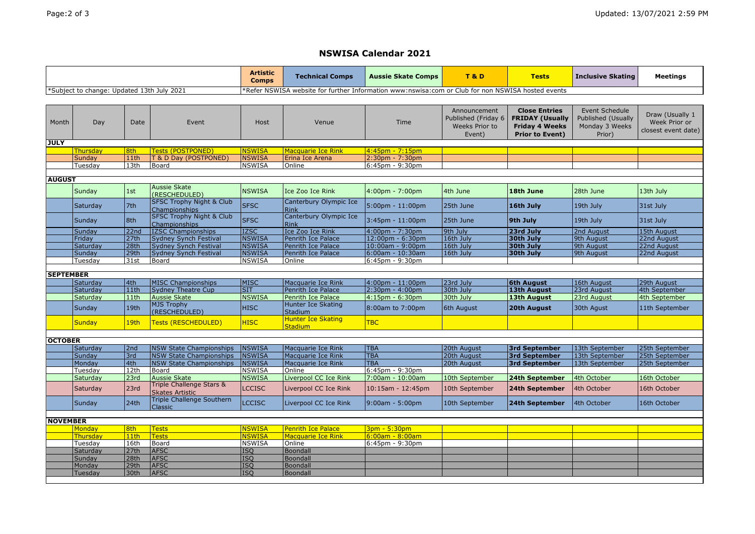## **NSWISA Calendar 2021**

|                                            |               |                   |                                                      | <b>Artistic</b><br><b>Comps</b> | <b>Technical Comps</b>                                                                            | <b>Aussie Skate Comps</b> | T&D                                                                    | <b>Tests</b>                                                                                      | <b>Inclusive Skating</b>                                                | <b>Meetings</b>                                         |  |
|--------------------------------------------|---------------|-------------------|------------------------------------------------------|---------------------------------|---------------------------------------------------------------------------------------------------|---------------------------|------------------------------------------------------------------------|---------------------------------------------------------------------------------------------------|-------------------------------------------------------------------------|---------------------------------------------------------|--|
| *Subject to change: Updated 13th July 2021 |               |                   |                                                      |                                 | Refer NSWISA website for further Information www:nswisa:com or Club for non NSWISA hosted events* |                           |                                                                        |                                                                                                   |                                                                         |                                                         |  |
|                                            |               |                   |                                                      |                                 |                                                                                                   |                           |                                                                        |                                                                                                   |                                                                         |                                                         |  |
| Month                                      | Day           | Date              | Event                                                | Host                            | Venue                                                                                             | Time                      | Announcement<br>Published (Friday 6<br><b>Weeks Prior to</b><br>Event) | <b>Close Entries</b><br><b>FRIDAY (Usually</b><br><b>Friday 4 Weeks</b><br><b>Prior to Event)</b> | Event Schedule<br><b>Published (Usually</b><br>Monday 3 Weeks<br>Prior) | Draw (Usually 1<br>Week Prior or<br>closest event date) |  |
| <b>JULY</b>                                |               |                   |                                                      |                                 |                                                                                                   |                           |                                                                        |                                                                                                   |                                                                         |                                                         |  |
|                                            | Thursdav      | 8th               | <b>Tests (POSTPONED)</b>                             | <b>NSWISA</b>                   | <b>Macquarie Ice Rink</b>                                                                         | $4:45$ pm - 7:15pm        |                                                                        |                                                                                                   |                                                                         |                                                         |  |
|                                            | Sundav        | 11th              | T & D Day (POSTPONED)                                | <b>NSWISA</b>                   | Erina Ice Arena                                                                                   | $2:30pm - 7:30pm$         |                                                                        |                                                                                                   |                                                                         |                                                         |  |
|                                            | Tuesday       | 13th              | Board                                                | <b>NSWISA</b>                   | Online                                                                                            | 6:45pm - 9:30pm           |                                                                        |                                                                                                   |                                                                         |                                                         |  |
|                                            | <b>AUGUST</b> |                   |                                                      |                                 |                                                                                                   |                           |                                                                        |                                                                                                   |                                                                         |                                                         |  |
|                                            |               |                   | Aussie Skate                                         |                                 |                                                                                                   |                           |                                                                        |                                                                                                   |                                                                         |                                                         |  |
|                                            | Sunday        | 1st               | (RESCHEDULED)                                        | <b>NSWISA</b>                   | Ice Zoo Ice Rink                                                                                  | $4:00pm - 7:00pm$         | 4th June                                                               | 18th June                                                                                         | 28th June                                                               | 13th July                                               |  |
|                                            | Saturday      | 7th               | <b>SFSC Trophy Night &amp; Club</b><br>Championships | <b>SFSC</b>                     | Canterbury Olympic Ice<br>Rink                                                                    | $5:00$ pm - 11:00pm       | 25th June                                                              | 16th July                                                                                         | 19th July                                                               | 31st July                                               |  |
|                                            | Sunday        | 8th               | <b>SFSC Trophy Night &amp; Club</b><br>Championships | <b>SFSC</b>                     | Canterbury Olympic Ice<br>Rink                                                                    | 3:45pm - 11:00pm          | 25th June                                                              | 9th July                                                                                          | 19th July                                                               | 31st July                                               |  |
|                                            | Sunday        | $\overline{22nd}$ | <b>IZSC Championships</b>                            | <b>IZSC</b>                     | Ice Zoo Ice Rink                                                                                  | 4:00pm - 7:30pm           | 9th July                                                               | 23rd July                                                                                         | 2nd August                                                              | 15th August                                             |  |
|                                            | Friday        | 27th              | Sydney Synch Festival                                | <b>NSWISA</b>                   | Penrith Ice Palace                                                                                | 12:00pm - 6:30pm          | 16th July                                                              | 30th July                                                                                         | 9th August                                                              | 22nd August                                             |  |
|                                            | Saturdav      | 28th              | <b>Sydney Synch Festival</b>                         | <b>NSWISA</b>                   | Penrith Ice Palace                                                                                | $10:00$ am - 9:00pm       | 16th July                                                              | 30th July                                                                                         | 9th August                                                              | 22nd August                                             |  |
|                                            | Sunday        | 29th              | <b>Sydney Synch Festival</b>                         | <b>NSWISA</b>                   | <b>Penrith Ice Palace</b>                                                                         | $6:00$ am - $10:30$ am    | 16th July                                                              | 30th July                                                                                         | 9th August                                                              | 22nd August                                             |  |
|                                            | Tuesday       | 31st              | Board                                                | <b>NSWISA</b>                   | Online                                                                                            | $6:45$ pm - 9:30pm        |                                                                        |                                                                                                   |                                                                         |                                                         |  |
| <b>SEPTEMBER</b>                           |               |                   |                                                      |                                 |                                                                                                   |                           |                                                                        |                                                                                                   |                                                                         |                                                         |  |
|                                            | Saturday      | 4th               | <b>MISC Championships</b>                            | <b>MISC</b>                     | Macquarie Ice Rink                                                                                | $4:00$ pm - 11:00pm       | 23rd July                                                              | <b>6th August</b>                                                                                 | 16th August                                                             | 29th August                                             |  |
|                                            | Saturday      | 11th              | <b>Sydney Theatre Cup</b>                            | <b>SIT</b>                      | Penrith Ice Palace                                                                                | $2:30pm - 4:00pm$         | 30th July                                                              | <b>13th August</b>                                                                                | 23rd August                                                             | 4th September                                           |  |
|                                            | Saturday      | 11th              | <b>Aussie Skate</b>                                  | <b>NSWISA</b>                   | Penrith Ice Palace                                                                                | 4:15pm - 6:30pm           | 30th July                                                              | <b>13th August</b>                                                                                | 23rd August                                                             | 4th September                                           |  |
|                                            | Sunday        | 19th              | <b>MJS Trophy</b><br>(RESCHEDULED)                   | <b>HISC</b>                     | Hunter Ice Skating<br><b>Stadium</b>                                                              | 8:00am to 7:00pm          | 6th August                                                             | 20th August                                                                                       | 30th Agust                                                              | 11th September                                          |  |
|                                            | <b>Sunday</b> | 19th              | Tests (RESCHEDULED)                                  | <b>HISC</b>                     | <b>Hunter Ice Skating</b><br><b>Stadium</b>                                                       | <b>TBC</b>                |                                                                        |                                                                                                   |                                                                         |                                                         |  |
| <b>OCTOBER</b>                             |               |                   |                                                      |                                 |                                                                                                   |                           |                                                                        |                                                                                                   |                                                                         |                                                         |  |
|                                            | Saturday      | 2nd               | <b>NSW State Championships</b>                       | <b>NSWISA</b>                   | Macquarie Ice Rink                                                                                | <b>TBA</b>                | 20th August                                                            | <b>3rd September</b>                                                                              | 13th September                                                          | 25th September                                          |  |
|                                            | Sundav        | 3rd               | <b>NSW State Championships</b>                       | <b>NSWISA</b>                   | Macquarie Ice Rink                                                                                | <b>TBA</b>                | 20th August                                                            | <b>3rd September</b>                                                                              | 13th September                                                          | 25th September                                          |  |
|                                            | Monday        | 4th               | <b>NSW State Championships</b>                       | <b>NSWISA</b>                   | Macquarie Ice Rink                                                                                | <b>TBA</b>                | 20th August                                                            | <b>3rd September</b>                                                                              | 13th September                                                          | 25th September                                          |  |
|                                            | Tuesdav       | 12th              | Board                                                | <b>NSWISA</b>                   | Online                                                                                            | 6:45pm - 9:30pm           |                                                                        |                                                                                                   |                                                                         |                                                         |  |
|                                            | Saturday      | 23rd              | Aussie Skate                                         | <b>NSWISA</b>                   | Liverpool CC Ice Rink                                                                             | 7:00am - 10:00am          | 10th September                                                         | 24th September                                                                                    | 4th October                                                             | 16th October                                            |  |
|                                            | Saturday      | 23rd              | Triple Challenge Stars &<br><b>Skates Artistic</b>   | <b>LCCISC</b>                   | Liverpool CC Ice Rink                                                                             | 10:15am - 12:45pm         | 10th September                                                         | 24th September                                                                                    | 4th October                                                             | 16th October                                            |  |
|                                            | Sunday        | 24th              | <b>Triple Challenge Southern</b><br><b>Classic</b>   | <b>LCCISC</b>                   | Liverpool CC Ice Rink                                                                             | 9:00am - 5:00pm           | 10th September                                                         | 24th September                                                                                    | 4th October                                                             | 16th October                                            |  |
|                                            |               |                   |                                                      |                                 |                                                                                                   |                           |                                                                        |                                                                                                   |                                                                         |                                                         |  |
| <b>NOVEMBER</b>                            | Mondav        | 8th               | <b>Tests</b>                                         | <b>NSWISA</b>                   | Penrith Ice Palace                                                                                | 3pm - 5:30pm              |                                                                        |                                                                                                   |                                                                         |                                                         |  |
|                                            | Thursday      | 11th              | <b>Tests</b>                                         | <b>NSWISA</b>                   | Macquarie Ice Rink                                                                                | $6:00am - 8:00am$         |                                                                        |                                                                                                   |                                                                         |                                                         |  |
|                                            | Tuesday       | 16th              | Board                                                | <b>NSWISA</b>                   | Online                                                                                            | 6:45pm - 9:30pm           |                                                                        |                                                                                                   |                                                                         |                                                         |  |
|                                            | Saturday      | 27th              | <b>AFSC</b>                                          | <b>ISQ</b>                      | Boondall                                                                                          |                           |                                                                        |                                                                                                   |                                                                         |                                                         |  |
|                                            | Sunday        | 28th              | <b>AFSC</b>                                          | <b>ISO</b>                      | Boondall                                                                                          |                           |                                                                        |                                                                                                   |                                                                         |                                                         |  |
|                                            | Monday        | 29th              | <b>AFSC</b>                                          | <b>ISQ</b>                      | Boondall                                                                                          |                           |                                                                        |                                                                                                   |                                                                         |                                                         |  |
|                                            | Tuesdav       | 30th              | <b>AFSC</b>                                          | <b>ISO</b>                      | Boondall                                                                                          |                           |                                                                        |                                                                                                   |                                                                         |                                                         |  |
|                                            |               |                   |                                                      |                                 |                                                                                                   |                           |                                                                        |                                                                                                   |                                                                         |                                                         |  |